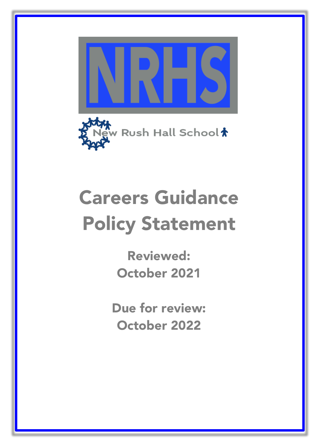



# Careers Guidance Policy Statement

Reviewed: October 2021

Due for review: October 2022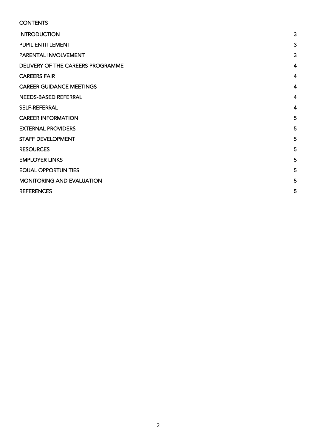| <b>CONTENTS</b>                   |                |
|-----------------------------------|----------------|
| <b>INTRODUCTION</b>               | 3              |
| PUPIL ENTITLEMENT                 | 3              |
| PARENTAL INVOLVEMENT              | 3              |
| DELIVERY OF THE CAREERS PROGRAMME | 4              |
| <b>CAREERS FAIR</b>               | $\overline{4}$ |
| <b>CAREER GUIDANCE MEETINGS</b>   | 4              |
| NEEDS-BASED REFERRAL              | 4              |
| <b>SELF-REFERRAL</b>              | 4              |
| <b>CAREER INFORMATION</b>         | 5              |
| <b>EXTERNAL PROVIDERS</b>         | 5              |
| <b>STAFF DEVELOPMENT</b>          | 5              |
| <b>RESOURCES</b>                  | 5              |
| <b>EMPLOYER LINKS</b>             | 5              |
| <b>EQUAL OPPORTUNITIES</b>        | 5              |
| <b>MONITORING AND EVALUATION</b>  | 5              |
| <b>REFERENCES</b>                 | 5              |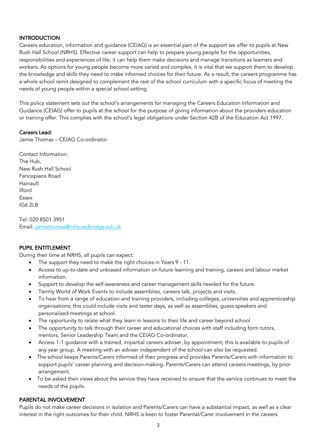# **INTRODUCTION**

Careers education, information and guidance (CEIAG) is an essential part of the support we offer to pupils at New Rush Hall School (NRHS). Effective career support can help to prepare young people for the opportunities, responsibilities and experiences of life; it can help them make decisions and manage transitions as learners and workers. As options for young people become more varied and complex, it is vital that we support them to develop the knowledge and skills they need to make informed choices for their future. As a result, the careers programme has a whole school remit designed to complement the rest of the school curriculum with a specific focus of meeting the needs of young people within a special school setting.

This policy statement sets out the school's arrangements for managing the Careers Education Information and Guidance (CEIAG) offer to pupils at the school for the purpose of giving information about the providers education or training offer. This complies with the school's legal obligations under Section 42B of the Education Act 1997.

# Careers Lead:

Jamie Thomas – CEIAG Co-ordinator

Contact Information: The Hub, New Rush Hall School Fencepiece Road Hainault Ilford Essex IG6 2LB

Tel: 020 8501 3951 Email: jamiethomas@nrhs.redbridge.sch.uk

# PUPIL ENTITLEMENT

During their time at NRHS, all pupils can expect:

- The support they need to make the right choices in Years 9 11.
- Access to up-to-date and unbiased information on future learning and training, careers and labour market information.
- Support to develop the self-awareness and career management skills needed for the future.
- Termly World of Work Events to include assemblies, careers talk, projects and visits.
- To hear from a range of education and training providers, including colleges, universities and apprenticeship organisations; this could include visits and taster days, as well as assemblies, guess speakers and personalised meetings at school.
- The opportunity to relate what they learn in lessons to their life and career beyond school
- The opportunity to talk through their career and educational choices with staff including form tutors, mentors, Senior Leadership Team and the CEIAG Co-ordinator.
- Access 1-1 guidance with a trained, impartial careers adviser, by appointment; this is available to pupils of any year group. A meeting with an adviser independent of the school can also be requested.
- The school keeps Parents/Carers informed of their progress and provides Parents/Carers with information to support pupils' career planning and decision-making. Parents/Carers can attend careers meetings, by prior arrangement.
- To be asked their views about the service they have received to ensure that the service continues to meet the needs of the pupils.

#### PARENTAL INVOLVEMENT

Pupils do not make career decisions in isolation and Parents/Carers can have a substantial impact, as well as a clear interest in the right outcomes for their child. NRHS is keen to foster Parental/Carer involvement in the careers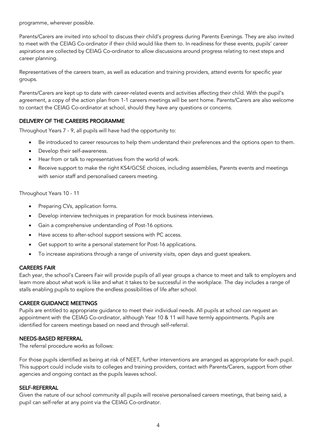programme, wherever possible.

Parents/Carers are invited into school to discuss their child's progress during Parents Evenings. They are also invited to meet with the CEIAG Co-ordinator if their child would like them to. In readiness for these events, pupils' career aspirations are collected by CEIAG Co-ordinator to allow discussions around progress relating to next steps and career planning.

Representatives of the careers team, as well as education and training providers, attend events for specific year groups.

Parents/Carers are kept up to date with career-related events and activities affecting their child. With the pupil's agreement, a copy of the action plan from 1-1 careers meetings will be sent home. Parents/Carers are also welcome to contact the CEIAG Co-ordinator at school, should they have any questions or concerns.

# DELIVERY OF THE CAREERS PROGRAMME

Throughout Years 7 - 9, all pupils will have had the opportunity to:

- Be introduced to career resources to help them understand their preferences and the options open to them.
- Develop their self-awareness.
- Hear from or talk to representatives from the world of work.
- Receive support to make the right KS4/GCSE choices, including assemblies, Parents events and meetings with senior staff and personalised careers meeting.

Throughout Years 10 - 11

- Preparing CVs, application forms.
- Develop interview techniques in preparation for mock business interviews.
- Gain a comprehensive understanding of Post-16 options.
- Have access to after-school support sessions with PC access.
- Get support to write a personal statement for Post-16 applications.
- To increase aspirations through a range of university visits, open days and guest speakers.

#### CAREERS FAIR

Each year, the school's Careers Fair will provide pupils of all year groups a chance to meet and talk to employers and learn more about what work is like and what it takes to be successful in the workplace. The day includes a range of stalls enabling pupils to explore the endless possibilities of life after school.

#### CAREER GUIDANCE MEETINGS

Pupils are entitled to appropriate guidance to meet their individual needs. All pupils at school can request an appointment with the CEIAG Co-ordinator, although Year 10 & 11 will have termly appointments. Pupils are identified for careers meetings based on need and through self-referral.

#### NEEDS-BASED REFERRAL

The referral procedure works as follows:

For those pupils identified as being at risk of NEET, further interventions are arranged as appropriate for each pupil. This support could include visits to colleges and training providers, contact with Parents/Carers, support from other agencies and ongoing contact as the pupils leaves school.

#### SELF-REFERRAL

Given the nature of our school community all pupils will receive personalised careers meetings, that being said, a pupil can self-refer at any point via the CEIAG Co-ordinator.